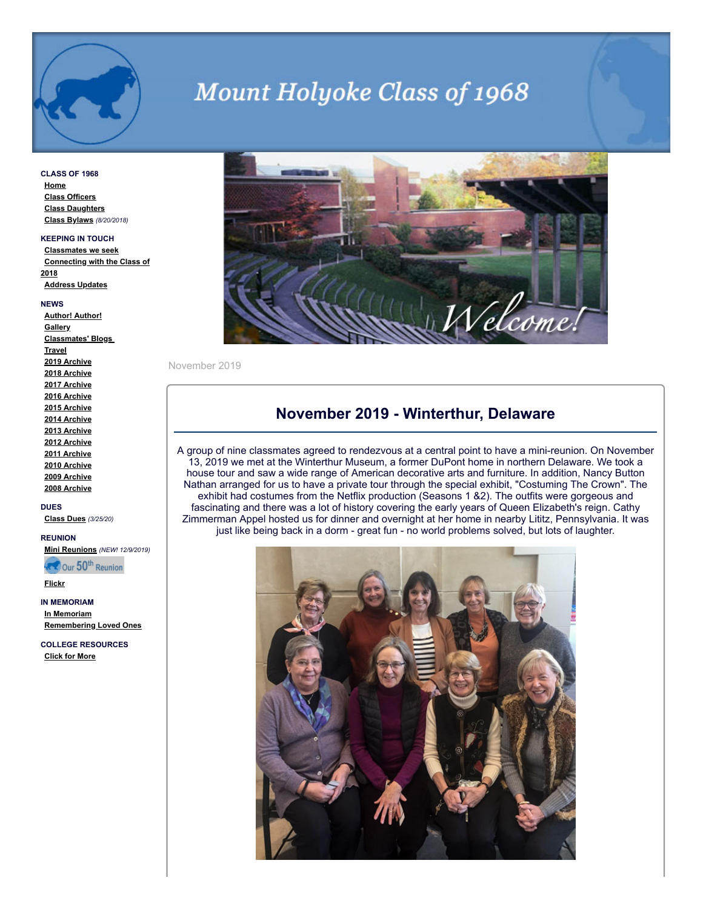

# **Mount Holyoke Class of 1968**

**CLASS OF 1968 [Home](http://www.mhc1968.com/index.asp) [Class Officers](http://www.mhc1968.com/officers.asp) [Class Daughters](http://www.mhc1968.com/daughters.asp) [Class Bylaws](http://www.mhc1968.com/Bylaws.asp)** *(8/20/2018)*

#### **KEEPING IN TOUCH**

**[Classmates we seek](http://www.mhc1968.com/lostclassmates.asp) [Connecting with the Class of](http://www.mhc1968.com/sisters.asp) 2018 [Address Updates](http://www.mhc1968.com/updates.asp)**

#### **NEWS**

**[Author! Author!](http://www.mhc1968.com/author.asp) [Gallery](http://www.mhc1968.com/gallery/gallery.asp) [Classmates' Blogs](http://www.mhc1968.com/blog.asp)  [Travel](http://www.mhc1968.com/travel.asp) [2019 Archive](http://www.mhc1968.com/archive2019.asp) [2018 Archive](http://www.mhc1968.com/archive2018.asp) [2017 Archive](http://www.mhc1968.com/archive2017.asp) [2016 Archive](http://www.mhc1968.com/archive2016.asp) [2015 Archive](http://www.mhc1968.com/archive2015.asp) [2014 Archive](http://www.mhc1968.com/archive2014.asp) [2013 Archive](http://www.mhc1968.com/archive2013.asp) [2012 Archive](http://www.mhc1968.com/archive2012.asp) [2011 Archive](http://www.mhc1968.com/archive2011.asp) [2010 Archive](http://www.mhc1968.com/archive2010.asp) [2009 Archive](http://www.mhc1968.com/archive2009.asp) [2008 Archive](http://www.mhc1968.com/archive2008.asp)**

**DUES [Class Dues](http://www.mhc1968.com/dues.asp)** *(3/25/20)*

**REUNION**

**[Mini Reunions](http://www.mhc1968.com/MiniReunions.asp)** *(NEW! 12/9/2019)*

**REA** Our 50<sup>th</sup> Reunion

**[Flickr](https://www.flickr.com/photos/162666628@N03/)**

**IN MEMORIAM [In Memoriam](http://www.mhc1968.com/memoriam.asp) [Remembering Loved Ones](http://www.mhc1968.com/remember.asp)**

**COLLEGE RESOURCES [Click for More](http://www.mhc1968.com/resources.asp)**



November 2019

#### **November 2019 - Winterthur, Delaware**

A group of nine classmates agreed to rendezvous at a central point to have a mini-reunion. On November 13, 2019 we met at the Winterthur Museum, a former DuPont home in northern Delaware. We took a house tour and saw a wide range of American decorative arts and furniture. In addition, Nancy Button Nathan arranged for us to have a private tour through the special exhibit, "Costuming The Crown". The exhibit had costumes from the Netflix production (Seasons 1 &2). The outfits were gorgeous and fascinating and there was a lot of history covering the early years of Queen Elizabeth's reign. Cathy Zimmerman Appel hosted us for dinner and overnight at her home in nearby Lititz, Pennsylvania. It was just like being back in a dorm - great fun - no world problems solved, but lots of laughter.

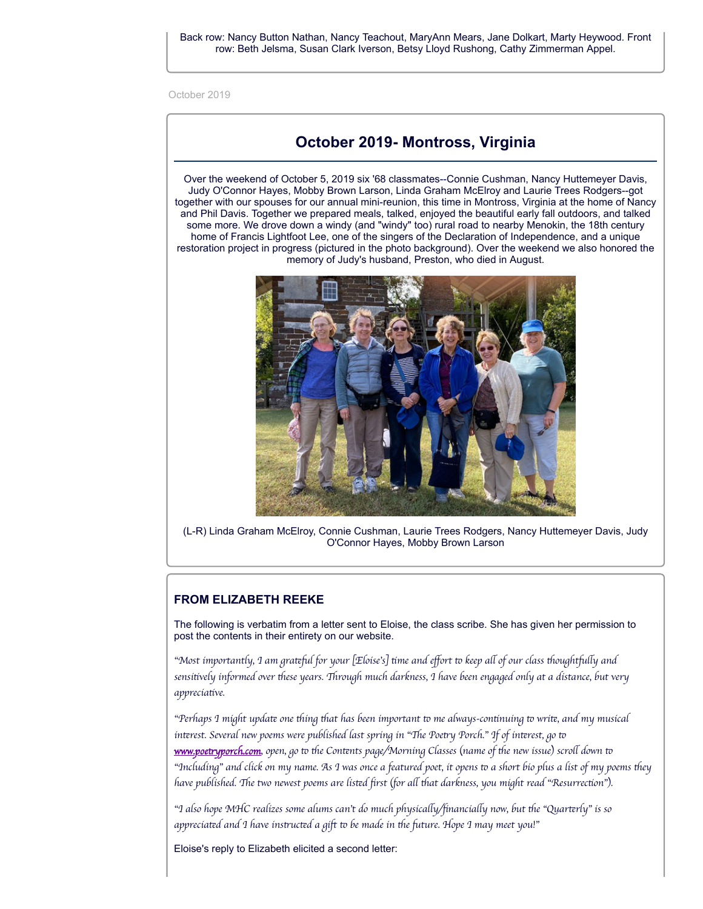October 2019

# **October 2019- Montross, Virginia**

Over the weekend of October 5, 2019 six '68 classmates--Connie Cushman, Nancy Huttemeyer Davis, Judy O'Connor Hayes, Mobby Brown Larson, Linda Graham McElroy and Laurie Trees Rodgers--got together with our spouses for our annual mini-reunion, this time in Montross, Virginia at the home of Nancy and Phil Davis. Together we prepared meals, talked, enjoyed the beautiful early fall outdoors, and talked some more. We drove down a windy (and "windy" too) rural road to nearby Menokin, the 18th century home of Francis Lightfoot Lee, one of the singers of the Declaration of Independence, and a unique restoration project in progress (pictured in the photo background). Over the weekend we also honored the memory of Judy's husband, Preston, who died in August.



(L-R) Linda Graham McElroy, Connie Cushman, Laurie Trees Rodgers, Nancy Huttemeyer Davis, Judy O'Connor Hayes, Mobby Brown Larson

#### **FROM ELIZABETH REEKE**

The following is verbatim from a letter sent to Eloise, the class scribe. She has given her permission to post the contents in their entirety on our website.

*"Most importantly, I am gral for your [Eloise's] me and effort keep a of our class oughty and* sensitively informed over these years. Through much darkness, I have been engaged only at a distance, but very *appreciative.* 

*"Perhaps I might upda one ing at has been important me always-connuing wri, and my musical inrest. Several new poems were published last spring in "e Poey Porch." If of inrest, go www.poetryporch.com*, *open, go* to the Contents page/Morning Classes (name of the new issue) scroll down to "Including" and click on my name. As I was once a featured poet, it opens to a short bio plus a list of my poems they *have published. e two newest poems are lisd first (for a at darkness, you might read "Resurrecon").*

*"I also hope MHC realizes some alums can't do much physicay/financiay now, but e "Quarrly" is so appreciad and I have insucd a gift be made in e ture. Hope I may meet you!"*

Eloise's reply to Elizabeth elicited a second letter: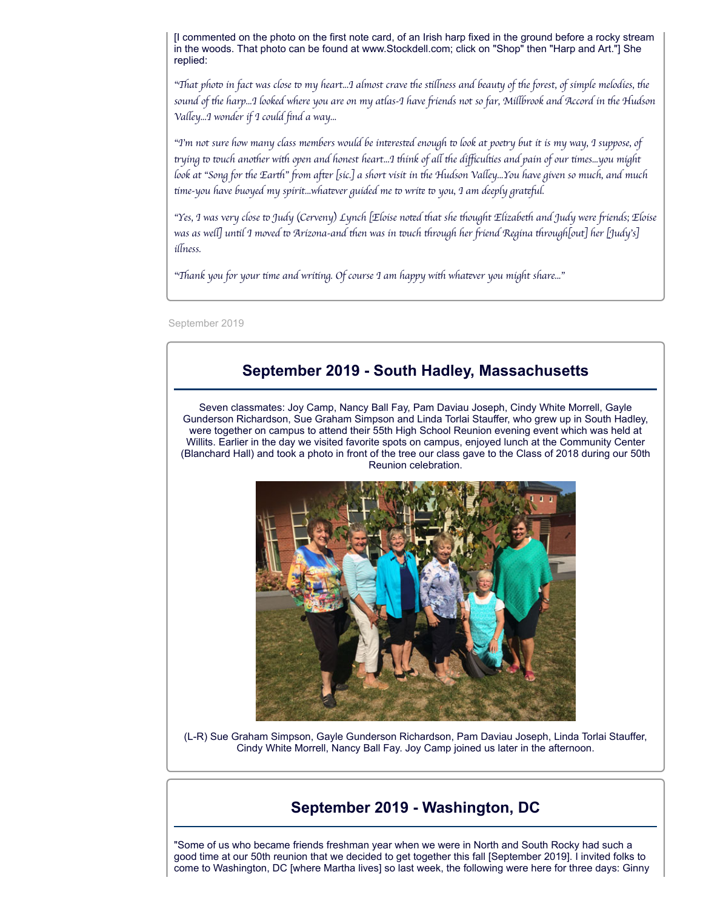[I commented on the photo on the first note card, of an Irish harp fixed in the ground before a rocky stream in the woods. That photo can be found at www.Stockdell.com; click on "Shop" then "Harp and Art."] She replied:

"That photo in fact was close to my heart…I almost crave the stillness and beauty of the forest, of simple melodies, the sound of the harp...I looked where you are on my atlas-I have friends not so far, Millbrook and Accord in the Hudson *Vaey...I wonder if I could find a way...*

"I'm not sure how many class members would be interested enough to look at poetry but it is my way, I suppose, of trying to touch another with open and honest heart…I think of all the difficulties and pain of our times…you might look at "Song for the Earth" from after [sic.] a short visit in the Hudson Valley…You have given so much, and much *time-you have buoyed my spirit...whatever guided me to write to you, I am deeply grateful.* 

"Yes, I was very close to Judy (Cerveny) Lynch [Eloíse noted that she thought Elizabeth and Judy were friends; Eloíse *was as we] unl I moved Arizona-and en was in uch rough her iend Regina rough[out] her [Judy's] iness.*

*"ank you for your me and wring. Of course I am happy wi whaver you might share..."*

September 2019

# **September 2019 - South Hadley, Massachusetts**

Seven classmates: Joy Camp, Nancy Ball Fay, Pam Daviau Joseph, Cindy White Morrell, Gayle Gunderson Richardson, Sue Graham Simpson and Linda Torlai Stauffer, who grew up in South Hadley, were together on campus to attend their 55th High School Reunion evening event which was held at Willits. Earlier in the day we visited favorite spots on campus, enjoyed lunch at the Community Center (Blanchard Hall) and took a photo in front of the tree our class gave to the Class of 2018 during our 50th Reunion celebration.



(L-R) Sue Graham Simpson, Gayle Gunderson Richardson, Pam Daviau Joseph, Linda Torlai Stauffer, Cindy White Morrell, Nancy Ball Fay. Joy Camp joined us later in the afternoon.

## **September 2019 - Washington, DC**

"Some of us who became friends freshman year when we were in North and South Rocky had such a good time at our 50th reunion that we decided to get together this fall [September 2019]. I invited folks to come to Washington, DC [where Martha lives] so last week, the following were here for three days: Ginny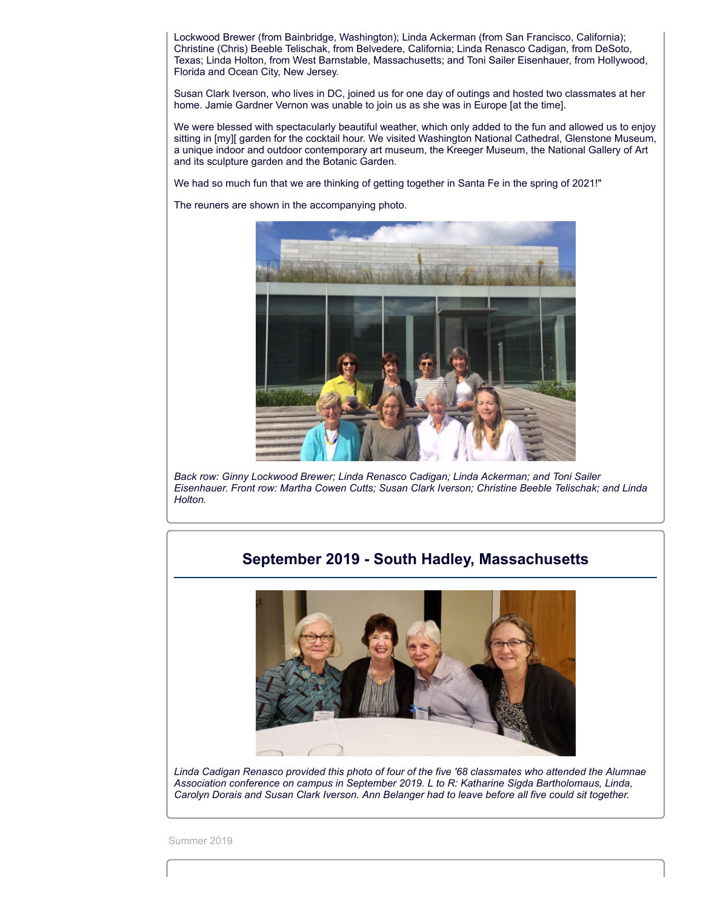Lockwood Brewer (from Bainbridge, Washington); Linda Ackerman (from San Francisco, California); Christine (Chris) Beeble Telischak, from Belvedere, California; Linda Renasco Cadigan, from DeSoto, Texas; Linda Holton, from West Barnstable, Massachusetts; and Toni Sailer Eisenhauer, from Hollywood, Florida and Ocean City, New Jersey.

Susan Clark Iverson, who lives in DC, joined us for one day of outings and hosted two classmates at her home. Jamie Gardner Vernon was unable to join us as she was in Europe [at the time].

We were blessed with spectacularly beautiful weather, which only added to the fun and allowed us to enjoy sitting in [my][ garden for the cocktail hour. We visited Washington National Cathedral, Glenstone Museum, a unique indoor and outdoor contemporary art museum, the Kreeger Museum, the National Gallery of Art and its sculpture garden and the Botanic Garden.

We had so much fun that we are thinking of getting together in Santa Fe in the spring of 2021!"

The reuners are shown in the accompanying photo.



*Back row: Ginny Lockwood Brewer; Linda Renasco Cadigan; Linda Ackerman; and Toni Sailer Eisenhauer. Front row: Martha Cowen Cutts; Susan Clark Iverson; Christine Beeble Telischak; and Linda Holton.*

## **September 2019 - South Hadley, Massachusetts**



*Linda Cadigan Renasco provided this photo of four of the five '68 classmates who attended the Alumnae Association conference on campus in September 2019. L to R: Katharine Sigda Bartholomaus, Linda, Carolyn Dorais and Susan Clark Iverson. Ann Belanger had to leave before all five could sit together.*

Summer 2019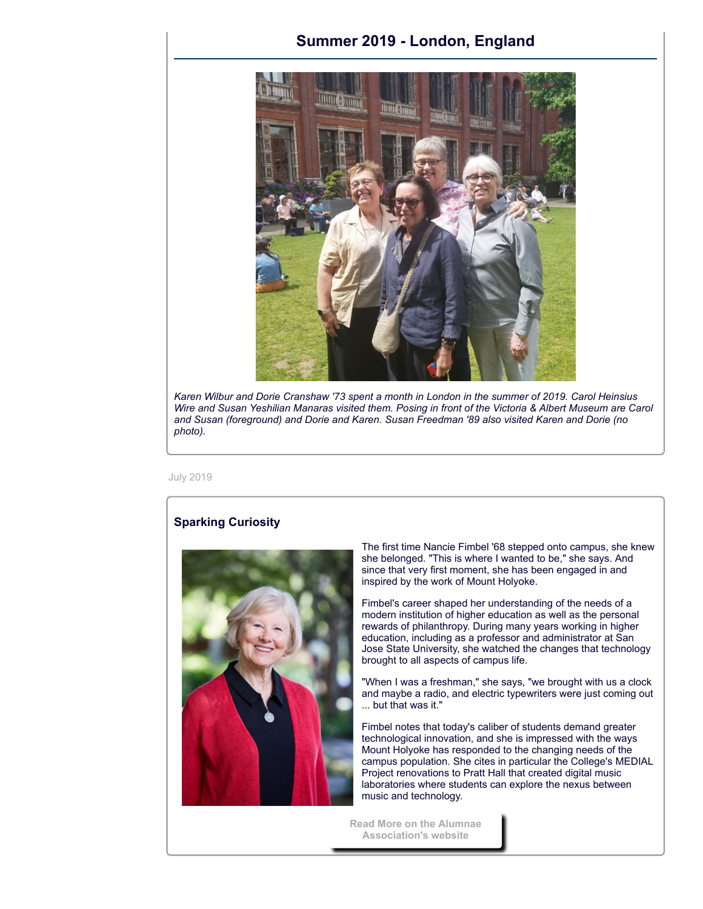### **Summer 2019 - London, England**



*Karen Wilbur and Dorie Cranshaw '73 spent a month in London in the summer of 2019. Carol Heinsius Wire and Susan Yeshilian Manaras visited them. Posing in front of the Victoria & Albert Museum are Carol and Susan (foreground) and Dorie and Karen. Susan Freedman '89 also visited Karen and Dorie (no photo).*

July 2019

#### **Sparking Curiosity**



The first time Nancie Fimbel '68 stepped onto campus, she knew she belonged. "This is where I wanted to be," she says. And since that very first moment, she has been engaged in and inspired by the work of Mount Holyoke.

Fimbel's career shaped her understanding of the needs of a modern institution of higher education as well as the personal rewards of philanthropy. During many years working in higher education, including as a professor and administrator at San Jose State University, she watched the changes that technology brought to all aspects of campus life.

"When I was a freshman," she says, "we brought with us a clock and maybe a radio, and electric typewriters were just coming out ... but that was it."

Fimbel notes that today's caliber of students demand greater technological innovation, and she is impressed with the ways Mount Holyoke has responded to the changing needs of the campus population. She cites in particular the College's MEDIAL Project renovations to Pratt Hall that created digital music laboratories where students can explore the nexus between music and technology.

**[Read More on the Alumnae](https://alumnae.mtholyoke.edu/blog/sparking-curiosity/) Association's website**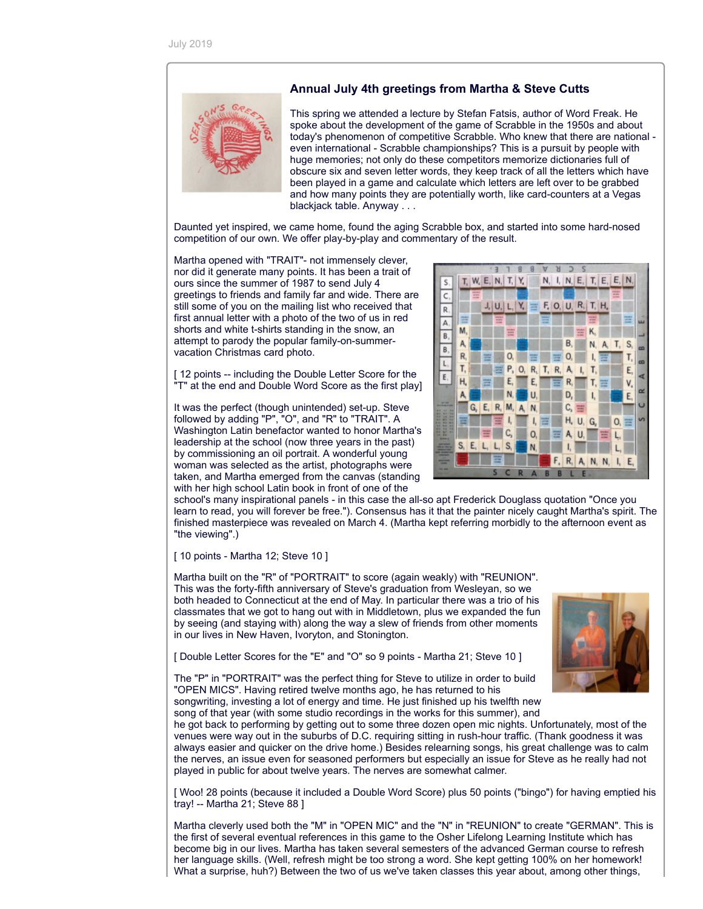

#### **Annual July 4th greetings from Martha & Steve Cutts**

This spring we attended a lecture by Stefan Fatsis, author of Word Freak. He spoke about the development of the game of Scrabble in the 1950s and about today's phenomenon of competitive Scrabble. Who knew that there are national even international - Scrabble championships? This is a pursuit by people with huge memories; not only do these competitors memorize dictionaries full of obscure six and seven letter words, they keep track of all the letters which have been played in a game and calculate which letters are left over to be grabbed and how many points they are potentially worth, like card-counters at a Vegas blackjack table. Anyway . . .

Daunted yet inspired, we came home, found the aging Scrabble box, and started into some hard-nosed competition of our own. We offer play-by-play and commentary of the result.

Martha opened with "TRAIT"- not immensely clever, nor did it generate many points. It has been a trait of ours since the summer of 1987 to send July 4 greetings to friends and family far and wide. There are still some of you on the mailing list who received that first annual letter with a photo of the two of us in red shorts and white t-shirts standing in the snow, an attempt to parody the popular family-on-summervacation Christmas card photo.

[12 points -- including the Double Letter Score for the "T" at the end and Double Word Score as the first play]

It was the perfect (though unintended) set-up. Steve followed by adding "P", "O", and "R" to "TRAIT". A Washington Latin benefactor wanted to honor Martha's leadership at the school (now three years in the past) by commissioning an oil portrait. A wonderful young woman was selected as the artist, photographs were taken, and Martha emerged from the canvas (standing with her high school Latin book in front of one of the



school's many inspirational panels - in this case the all-so apt Frederick Douglass quotation "Once you learn to read, you will forever be free."). Consensus has it that the painter nicely caught Martha's spirit. The finished masterpiece was revealed on March 4. (Martha kept referring morbidly to the afternoon event as "the viewing".)

[ 10 points - Martha 12; Steve 10 ]

Martha built on the "R" of "PORTRAIT" to score (again weakly) with "REUNION". This was the forty-fifth anniversary of Steve's graduation from Wesleyan, so we both headed to Connecticut at the end of May. In particular there was a trio of his classmates that we got to hang out with in Middletown, plus we expanded the fun by seeing (and staying with) along the way a slew of friends from other moments in our lives in New Haven, Ivoryton, and Stonington.

[ Double Letter Scores for the "E" and "O" so 9 points - Martha 21; Steve 10 ]

The "P" in "PORTRAIT" was the perfect thing for Steve to utilize in order to build "OPEN MICS". Having retired twelve months ago, he has returned to his songwriting, investing a lot of energy and time. He just finished up his twelfth new song of that year (with some studio recordings in the works for this summer), and

he got back to performing by getting out to some three dozen open mic nights. Unfortunately, most of the venues were way out in the suburbs of D.C. requiring sitting in rush-hour traffic. (Thank goodness it was always easier and quicker on the drive home.) Besides relearning songs, his great challenge was to calm the nerves, an issue even for seasoned performers but especially an issue for Steve as he really had not played in public for about twelve years. The nerves are somewhat calmer.

[ Woo! 28 points (because it included a Double Word Score) plus 50 points ("bingo") for having emptied his tray! -- Martha 21; Steve 88 ]

Martha cleverly used both the "M" in "OPEN MIC" and the "N" in "REUNION" to create "GERMAN". This is the first of several eventual references in this game to the Osher Lifelong Learning Institute which has become big in our lives. Martha has taken several semesters of the advanced German course to refresh her language skills. (Well, refresh might be too strong a word. She kept getting 100% on her homework! What a surprise, huh?) Between the two of us we've taken classes this year about, among other things,

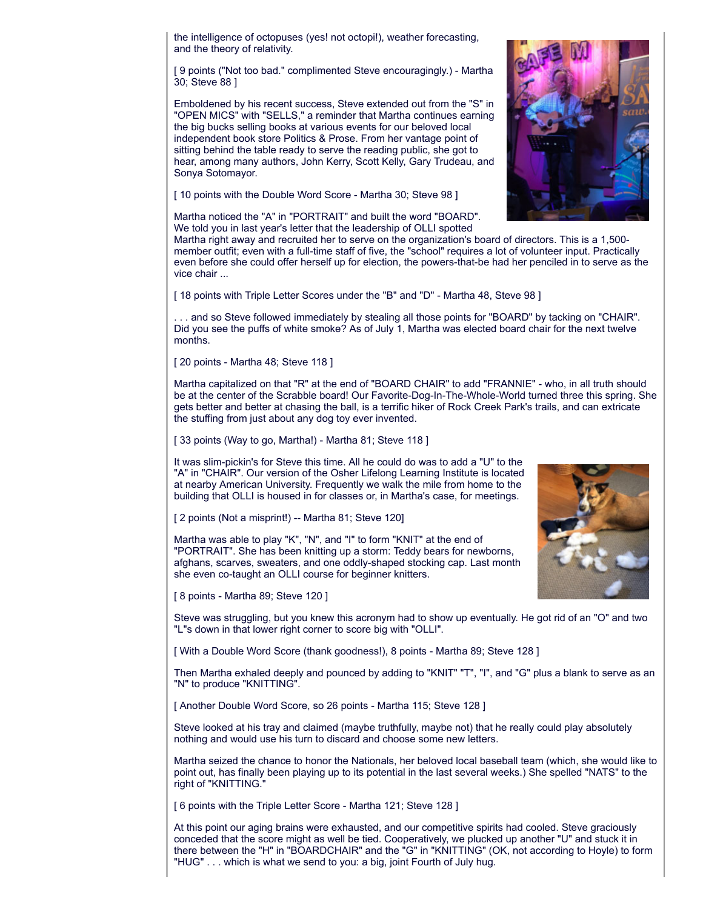the intelligence of octopuses (yes! not octopi!), weather forecasting, and the theory of relativity.

[ 9 points ("Not too bad." complimented Steve encouragingly.) - Martha 30; Steve 88 ]

Emboldened by his recent success, Steve extended out from the "S" in "OPEN MICS" with "SELLS," a reminder that Martha continues earning the big bucks selling books at various events for our beloved local independent book store Politics & Prose. From her vantage point of sitting behind the table ready to serve the reading public, she got to hear, among many authors, John Kerry, Scott Kelly, Gary Trudeau, and Sonya Sotomayor.

[ 10 points with the Double Word Score - Martha 30; Steve 98 ]

Martha noticed the "A" in "PORTRAIT" and built the word "BOARD". We told you in last year's letter that the leadership of OLLI spotted

Martha right away and recruited her to serve on the organization's board of directors. This is a 1,500 member outfit; even with a full-time staff of five, the "school" requires a lot of volunteer input. Practically even before she could offer herself up for election, the powers-that-be had her penciled in to serve as the vice chair ...

[ 18 points with Triple Letter Scores under the "B" and "D" - Martha 48, Steve 98 ]

. . . and so Steve followed immediately by stealing all those points for "BOARD" by tacking on "CHAIR". Did you see the puffs of white smoke? As of July 1, Martha was elected board chair for the next twelve months.

[ 20 points - Martha 48; Steve 118 ]

Martha capitalized on that "R" at the end of "BOARD CHAIR" to add "FRANNIE" - who, in all truth should be at the center of the Scrabble board! Our Favorite-Dog-In-The-Whole-World turned three this spring. She gets better and better at chasing the ball, is a terrific hiker of Rock Creek Park's trails, and can extricate the stuffing from just about any dog toy ever invented.

[ 33 points (Way to go, Martha!) - Martha 81; Steve 118 ]

It was slim-pickin's for Steve this time. All he could do was to add a "U" to the "A" in "CHAIR". Our version of the Osher Lifelong Learning Institute is located at nearby American University. Frequently we walk the mile from home to the building that OLLI is housed in for classes or, in Martha's case, for meetings.

[ 2 points (Not a misprint!) -- Martha 81; Steve 120]

Martha was able to play "K", "N", and "I" to form "KNIT" at the end of "PORTRAIT". She has been knitting up a storm: Teddy bears for newborns, afghans, scarves, sweaters, and one oddly-shaped stocking cap. Last month she even co-taught an OLLI course for beginner knitters.

[ 8 points - Martha 89; Steve 120 ]

Steve was struggling, but you knew this acronym had to show up eventually. He got rid of an "O" and two "L"s down in that lower right corner to score big with "OLLI".

[ With a Double Word Score (thank goodness!), 8 points - Martha 89; Steve 128 ]

Then Martha exhaled deeply and pounced by adding to "KNIT" "T", "I", and "G" plus a blank to serve as an "N" to produce "KNITTING".

[ Another Double Word Score, so 26 points - Martha 115; Steve 128 ]

Steve looked at his tray and claimed (maybe truthfully, maybe not) that he really could play absolutely nothing and would use his turn to discard and choose some new letters.

Martha seized the chance to honor the Nationals, her beloved local baseball team (which, she would like to point out, has finally been playing up to its potential in the last several weeks.) She spelled "NATS" to the right of "KNITTING."

[ 6 points with the Triple Letter Score - Martha 121; Steve 128 ]

At this point our aging brains were exhausted, and our competitive spirits had cooled. Steve graciously conceded that the score might as well be tied. Cooperatively, we plucked up another "U" and stuck it in there between the "H" in "BOARDCHAIR" and the "G" in "KNITTING" (OK, not according to Hoyle) to form "HUG" . . . which is what we send to you: a big, joint Fourth of July hug.